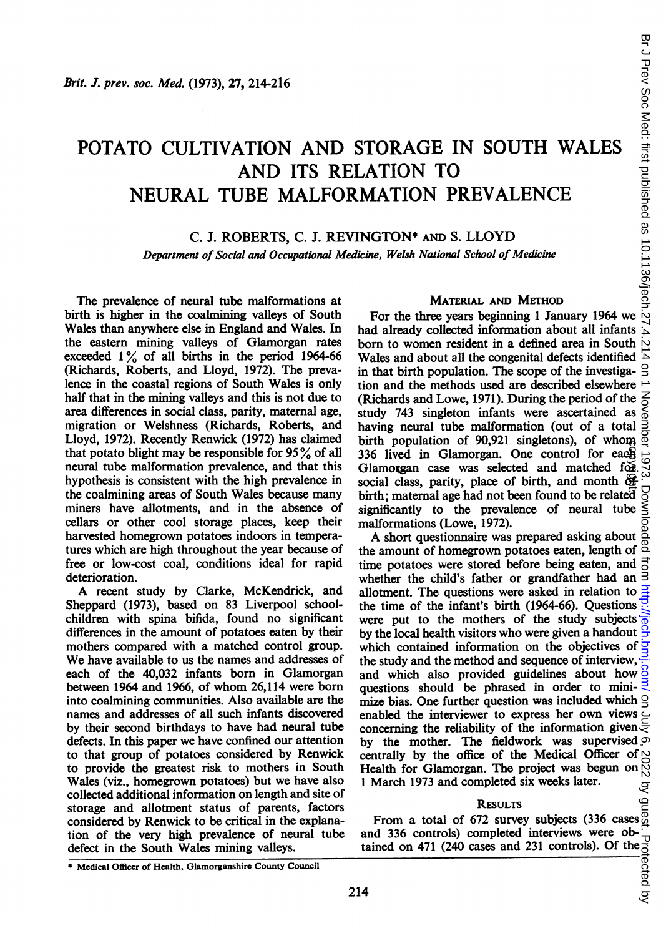# POTATO CULTIVATION AND STORAGE IN SOUTH WALES AND ITS RELATION TO NEURAL TUBE MALFORMATION PREVALENCE EXECTIVE SOUTH WALES<br>
FORAGE IN SOUTH WALES<br>
ATION TO<br>
MATION PREVALENCE<br>
IGTON\* AND S. LLOYD<br>
THE THE TREVALENCE<br>
IGTON\* AND S. LLOYD<br>
THE TREVALENCE<br>
THE TREVALENCE<br>
TO THE TREVALENCE<br>
THE TREVALENCE<br>
TO THE TREVALENCE<br>

# C. J. ROBERTS, C. J. REVINGTON\* AND S. LLOYD

# Department of Social and Occupational Medicine, Welsh National School of Medicine

The prevalence of neural tube malformations at birth is higher in the coalmining valleys of South Wales than anywhere else in England and Wales. In the eastern mining valleys of Glamorgan rates exceeded  $1\%$  of all births in the period 1964-66 (Richards, Roberts, and Lloyd, 1972). The prevalence in the coastal regions of South Wales is only half that in the mining valleys and this is not due to area differences in social class, parity, maternal age, migration or Welshness (Richards, Roberts, and Lloyd, 1972). Recently Renwick (1972) has claimed that potato blight may be responsible for  $95\%$  of all neural tube malformation prevalence, and that this hypothesis is consistent with the high prevalence in the coalmining areas of South Wales because many miners have allotments, and in the absence of cellars or other cool storage places, keep their harvested homegrown potatoes indoors in temperatures which are high throughout the year because of free or low-cost coal, conditions ideal for rapid deterioration.

A recent study by Clarke, McKendrick, and Sheppard (1973), based on 83 Liverpool schoolchildren with spina bifida, found no significant differences in the amount of potatoes eaten by their mothers compared with a matched control group. We have available to us the names and addresses of each of the 40,032 infants born in Glamorgan between 1964 and 1966, of whom 26,114 were born into coalmining communities. Also available are the names and addresses of all such infants discovered by their second birthdays to have had neural tube defects. In this paper we have confined our attention to that group of potatoes considered by Renwick to provide the greatest risk to mothers in South Wales (viz., homegrown potatoes) but we have also collected additional information on length and site of storage and allotment status of parents, factors considered by Renwick to be critical in the explanation of the very high prevalence of neural tube defect in the South Wales mining valleys.

# MATERIAL AND METHOD

had already collected information about all infants born to women resident in a defined area in South  $\sim$ Wales and about all the congenital defects identified in that birth population. The scope of the investiga-  $\triangle$ tion and the methods used are described elsewhere (Richards and Lowe, 1971). During the period of the study 743 singleton infants were ascertained as having neural tube malformation (out of a total birth population of 90,921 singletons), of whom  $\frac{\infty}{6}$ 336 lived in Glamorgan. One control for each<br>Glamorgan case was selected and matched for social class, parity, place of birth, and month  $\frac{d\mathbf{F}}{d\mathbf{F}}$ Glamorgan case was selected and matched  $f$ organisms social class, parity, place of birth, and month  $\mathbb{G}$ birth; maternal age had not been found to be related significantly to the prevalence of neural tube malformations (Lowe, 1972).

A short questionnaire was prepared asking about the amount of homegrown potatoes eaten, length of  $\overline{a}$ time potatoes were stored before being eaten, and  $\frac{1}{0}$ whether the child's father or grandfather had an  $\overline{3}$ allotment. The questions were asked in relation to  $\frac{3}{4}$ the time of the infant's birth (1964-66). Questions  $\frac{1}{2}$ were put to the mothers of the study subjects  $\frac{1}{0}$ by the local health visitors who were given a handout  $\frac{6}{5}$ which contained information on the objectives of the study and the method and sequence of interview, and which also provided guidelines about how questions should be phrased in order to minimize bias. One further question was included which  $\triangleleft$ enabled the interviewer to express her own views concerning the reliability of the information given by the mother. The fieldwork was supervised  $\infty$ centrally by the office of the Medical Officer of  $\sim$ <br>Health for Glamorgan. The project was begun on  $\sim$ Health for Glamorgan. The project was begun on <sup>1</sup> March 1973 and completed six weeks later.

# **RESULTS**

From a total of 672 survey subjects (336 cases  $\frac{65}{6}$ and 336 controls) completed interviews were ob-<br>tained on 471 (240 cases and 231 controls). Of the property<br>controls). The property of the controls of the controls of the controls of the controls of the control of control tained on 471 (240 cases and 231 controls). Of the

<sup>\*</sup> Medical Officer of Health, Glamorganshire County Council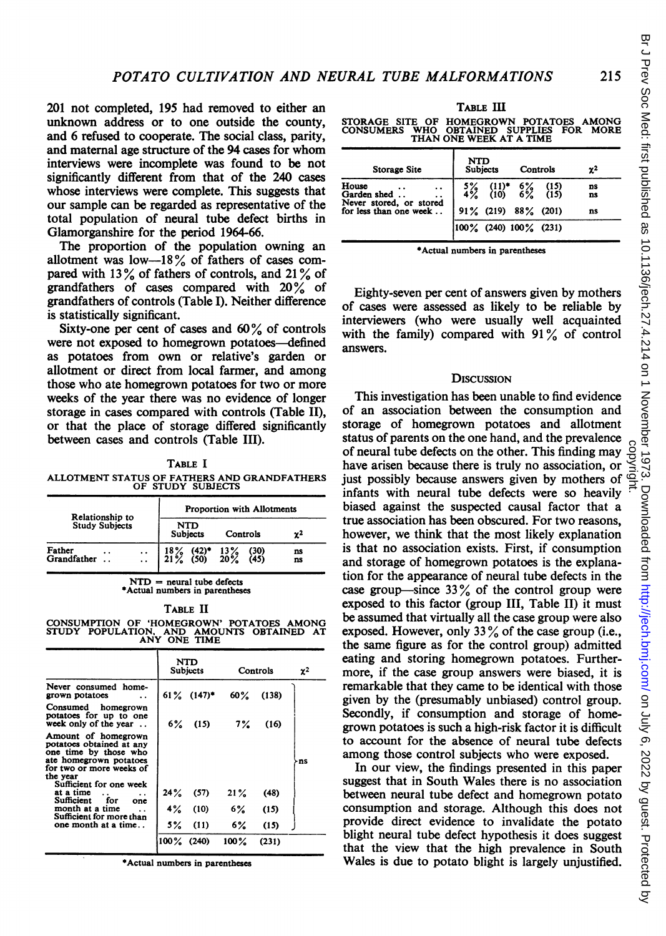201 not completed, 195 had removed to either an unknown address or to one outside the county, and 6 refused to cooperate. The social class, parity, and maternal age structure of the 94 cases for whom interviews were incomplete was found to be not significantly different from that of the 240 cases whose interviews were complete. This suggests that our sample can be regarded as representative of the total population of neural tube defect births in Glamorganshire for the period 1964-66.

The proportion of the population owning an allotment was low-18% of fathers of cases compared with 13% of fathers of controls, and 21% of grandfathers of cases compared with 20% of grandfathers of controls (Table I). Neither difference is statistically significant.

Sixty-one per cent of cases and  $60\%$  of controls were not exposed to homegrown potatoes—defined as potatoes from own or relative's garden or allotment or direct from local farmer, and among those who ate homegrown potatoes for two or more weeks of the year there was no evidence of longer storage in cases compared with controls (Table II), or that the place of storage differed significantly between cases and controls (Table III).

TABLE <sup>I</sup> ALLOTMENT STATUS OF FATHERS AND GRANDFATHERS OF STUDY SUBJECTS

| Relationship to                                      | <b>Proportion with Allotments</b>                                          |              |                |  |  |  |
|------------------------------------------------------|----------------------------------------------------------------------------|--------------|----------------|--|--|--|
| <b>Study Subjects</b>                                | <b>NTD</b><br><b>Subjects</b>                                              | Controls     | $\mathbf{z}^2$ |  |  |  |
| Father<br>. .<br>Grandfather<br>$\ddot{\phantom{0}}$ | $\begin{array}{cc} 18\% & (42)^* & 13\% \\ 21\% & (50) & 20\% \end{array}$ | (30)<br>(45) | ns<br>ns       |  |  |  |

 $NTD$  = neural tube defects \*Actual numbers in parentheses

TABLE II CONSUMPTION OF 'HOMEGROWN' POTATOES AMONG STUDY POPULATION, AND AMOUNTS OBTAINED AT ANY ONE TIME

|                                                                                                                                            | NTD<br>Subjects |       | Controls             |       | χ2 |
|--------------------------------------------------------------------------------------------------------------------------------------------|-----------------|-------|----------------------|-------|----|
| Never consumed home-<br>grown potatoes                                                                                                     |                 |       | $61\%$ $(147)^*$ 60% | (138) |    |
| Consumed homegrown<br>potatoes for up to one<br>week only of the year                                                                      | 6%              | (15)  | $7\%$                | (16)  |    |
| Amount of homegrown<br>potatoes obtained at any<br>one time by those who<br>ate homegrown potatoes<br>for two or more weeks of<br>the year |                 |       |                      |       | ns |
| Sufficient for one week<br>at a time<br>Sufficient<br>for<br>one                                                                           | 24%             | (57)  | 21%                  | (48)  |    |
| month at a time<br>$\ddot{\phantom{a}}$<br>Sufficient for more than                                                                        | 4%              | (10)  | 6%                   | (15)  |    |
| one month at a time                                                                                                                        | 5%              | (11)  | 6%                   | (15)  |    |
|                                                                                                                                            | 100%            | (240) | $100\%$              | (231) |    |
|                                                                                                                                            |                 |       |                      |       |    |

\*Actual numbers in parentheses

TABLE III

STORAGE SITE OF HOMEGROWN POTATOES AMONG CONSUMERS WHO OBTAINED SUPPLIES FOR MORE THAN ONE WEEK AT A TIME

| <b>Storage Site</b>                               | <b>NTD</b><br><b>Subjects</b> |                                               | Controls                |              | χ2       |
|---------------------------------------------------|-------------------------------|-----------------------------------------------|-------------------------|--------------|----------|
| House<br>Garden shed                              |                               | $\begin{array}{c} (11)^* \\ (10) \end{array}$ | $\substack{6\% \\ 6\%}$ | (15)<br>(15) | ns<br>ns |
| Never stored, or stored<br>for less than one week |                               | $91\%$ (219) 88% (201)                        |                         |              | ns       |
|                                                   |                               | $ 100\% \t(240) 100\% \t(231)$                |                         |              |          |

\*Actual numbers in parentheses

Eighty-seven per cent of answers given by mothers of cases were assessed as likely to be reliable by interviewers (who were usually well acquainted with the family) compared with  $91\%$  of control answers.

# **DISCUSSION**

This investigation has been unable to find evidence of an association between the consumption and storage of homegrown potatoes and allotment status of parents on the one hand, and the prevalence of neural tube defects on the other. This finding may have arisen because there is truly no association, or just possibly because answers given by mothers of infants with neural tube defects were so heavily biased against the suspected causal factor that a true association has been obscured. For two reasons, however, we think that the most likely explanation is that no association exists. First, if consumption and storage of homegrown potatoes is the explanation for the appearance of neural tube defects in the case group—since  $33\%$  of the control group were exposed to this factor (group III, Table II) it must be assumed that virtually all the case group were also exposed. However, only  $33\%$  of the case group (i.e., the same figure as for the control group) admitted eating and storing homegrown potatoes. Furthermore, if the case group answers were biased, it is remarkable that they came to be identical with those given by the (presumably unbiased) control group. Secondly, if consumption and storage of homegrown potatoes is such a high-risk factor it is difficult to account for the absence of neural tube defects among those control subjects who were exposed.

In our view, the findings presented in this paper suggest that in South Wales there is no association between neural tube defect and homegrown potato consumption and storage. Although this does not provide direct evidence to invalidate the potato blight neural tube defect hypothesis it does suggest that the view that the high prevalence in South Wales is due to potato blight is largely unjustified.